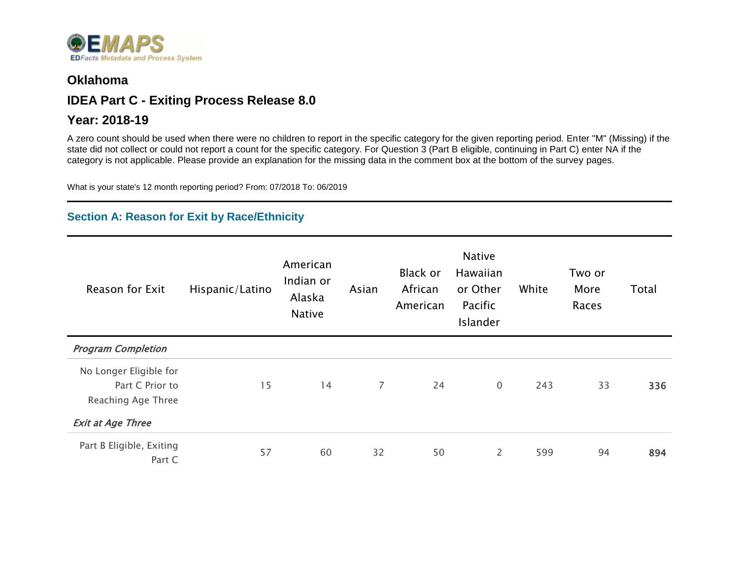

#### **Oklahoma**

### **IDEA Part C - Exiting Process Release 8.0**

#### **Year: 2018-19**

A zero count should be used when there were no children to report in the specific category for the given reporting period. Enter "M" (Missing) if the state did not collect or could not report a count for the specific category. For Question 3 (Part B eligible, continuing in Part C) enter NA if the category is not applicable. Please provide an explanation for the missing data in the comment box at the bottom of the survey pages.

What is your state's 12 month reporting period? From: 07/2018 To: 06/2019

#### **Section A: Reason for Exit by Race/Ethnicity**

| Reason for Exit                    | Hispanic/Latino | American<br>Indian or<br>Alaska<br><b>Native</b> | Asian          | Black or<br>African<br>American | <b>Native</b><br>Hawaiian<br>or Other<br>Pacific<br>Islander | White | Two or<br>More<br>Races | Total |
|------------------------------------|-----------------|--------------------------------------------------|----------------|---------------------------------|--------------------------------------------------------------|-------|-------------------------|-------|
| <b>Program Completion</b>          |                 |                                                  |                |                                 |                                                              |       |                         |       |
| No Longer Eligible for             |                 |                                                  |                |                                 |                                                              |       |                         |       |
| Part C Prior to                    | 15              | 14                                               | $\overline{7}$ | 24                              | $\overline{0}$                                               | 243   | 33                      | 336   |
| Reaching Age Three                 |                 |                                                  |                |                                 |                                                              |       |                         |       |
| <b>Exit at Age Three</b>           |                 |                                                  |                |                                 |                                                              |       |                         |       |
| Part B Eligible, Exiting<br>Part C | 57              | 60                                               | 32             | 50                              | $\overline{2}$                                               | 599   | 94                      | 894   |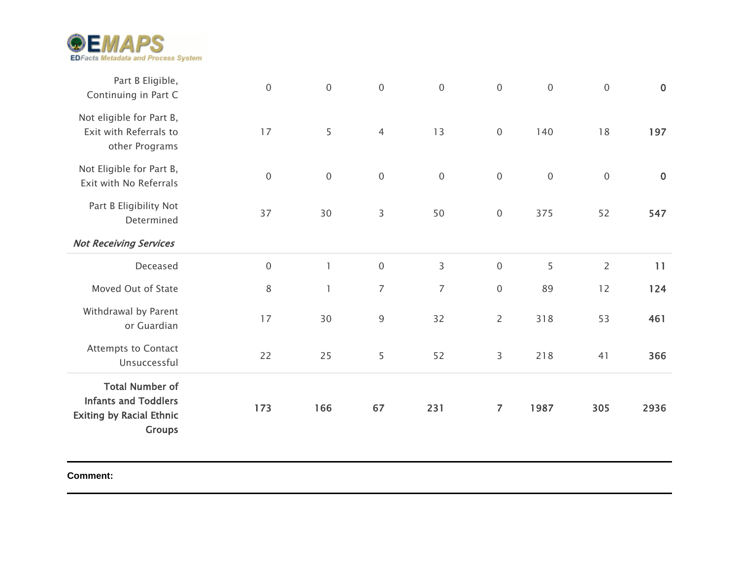

| Part B Eligible,<br>Continuing in Part C                                                                  | $\mathbf 0$ | $\mathbf 0$                           | $\mathbf 0$    | $\mathbf 0$    | $\boldsymbol{0}$ | $\boldsymbol{0}$ | $\mathbf 0$    | $\mathbf 0$ |
|-----------------------------------------------------------------------------------------------------------|-------------|---------------------------------------|----------------|----------------|------------------|------------------|----------------|-------------|
| Not eligible for Part B,<br>Exit with Referrals to<br>other Programs                                      | 17          | 5                                     | $\overline{4}$ | 13             | $\mathbf 0$      | 140              | 18             | 197         |
| Not Eligible for Part B,<br>Exit with No Referrals                                                        | $\mathbf 0$ | $\mathbf 0$                           | $\mathbf 0$    | $\mathbf 0$    | $\mathbf 0$      | $\mathbf 0$      | $\mathbf 0$    | $\mathbf 0$ |
| Part B Eligibility Not<br>Determined                                                                      | 37          | 30                                    | $\mathsf{3}$   | 50             | $\boldsymbol{0}$ | 375              | 52             | 547         |
| <b>Not Receiving Services</b>                                                                             |             |                                       |                |                |                  |                  |                |             |
| Deceased                                                                                                  | $\mathbf 0$ | $\mathbb{I}$                          | $\mathbf 0$    | $\mathsf 3$    | $\boldsymbol{0}$ | 5                | $\overline{2}$ | 11          |
| Moved Out of State                                                                                        | $\,8\,$     | $\begin{array}{c} \hline \end{array}$ | $\overline{7}$ | $\overline{7}$ | $\boldsymbol{0}$ | 89               | 12             | 124         |
| Withdrawal by Parent<br>or Guardian                                                                       | 17          | 30                                    | $\overline{9}$ | 32             | $\overline{c}$   | 318              | 53             | 461         |
| <b>Attempts to Contact</b><br>Unsuccessful                                                                | 22          | 25                                    | 5              | 52             | 3                | 218              | 41             | 366         |
| <b>Total Number of</b><br><b>Infants and Toddlers</b><br><b>Exiting by Racial Ethnic</b><br><b>Groups</b> | 173         | 166                                   | 67             | 231            | $\overline{7}$   | 1987             | 305            | 2936        |

**Comment:**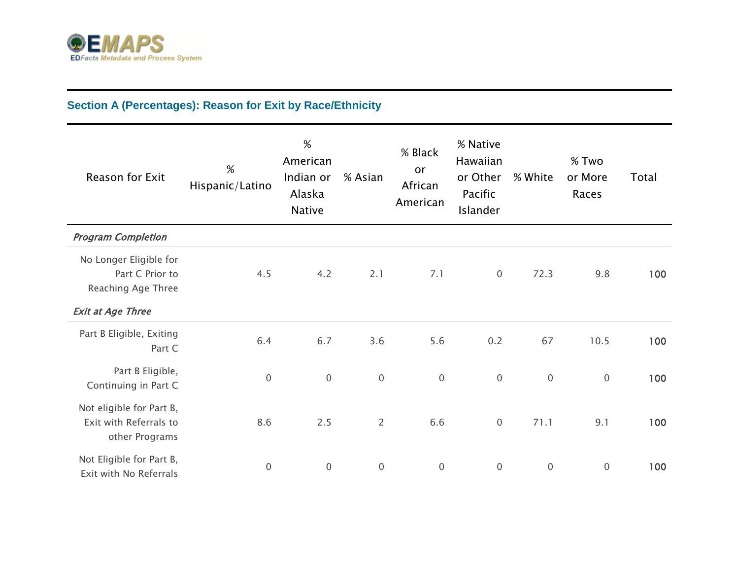

# **Section A (Percentages): Reason for Exit by Race/Ethnicity**

| Reason for Exit                                                                             | %<br>Hispanic/Latino | $\%$<br>American<br>Indian or<br>Alaska<br><b>Native</b> | % Asian          | % Black<br>or<br>African<br>American | % Native<br>Hawaiian<br>or Other<br>Pacific<br>Islander | % White     | % Two<br>or More<br>Races | Total |
|---------------------------------------------------------------------------------------------|----------------------|----------------------------------------------------------|------------------|--------------------------------------|---------------------------------------------------------|-------------|---------------------------|-------|
| <b>Program Completion</b>                                                                   |                      |                                                          |                  |                                      |                                                         |             |                           |       |
| No Longer Eligible for<br>Part C Prior to<br>Reaching Age Three<br><b>Exit at Age Three</b> | 4.5                  | 4.2                                                      | 2.1              | 7.1                                  | $\overline{0}$                                          | 72.3        | 9.8                       | 100   |
| Part B Eligible, Exiting<br>Part C                                                          | 6.4                  | 6.7                                                      | 3.6              | 5.6                                  | 0.2                                                     | 67          | 10.5                      | 100   |
| Part B Eligible,<br>Continuing in Part C                                                    | $\mathsf{O}\xspace$  | $\mathbf 0$                                              | $\boldsymbol{0}$ | $\boldsymbol{0}$                     | $\mathbf 0$                                             | $\mathbf 0$ | $\mathbf 0$               | 100   |
| Not eligible for Part B,<br>Exit with Referrals to<br>other Programs                        | 8.6                  | 2.5                                                      | $\overline{2}$   | 6.6                                  | $\mathbf 0$                                             | 71.1        | 9.1                       | 100   |
| Not Eligible for Part B,<br>Exit with No Referrals                                          | $\mathbf 0$          | $\mathbf 0$                                              | $\mathbf 0$      | $\mathbf 0$                          | $\mathbf 0$                                             | $\mathbf 0$ | $\mathbf 0$               | 100   |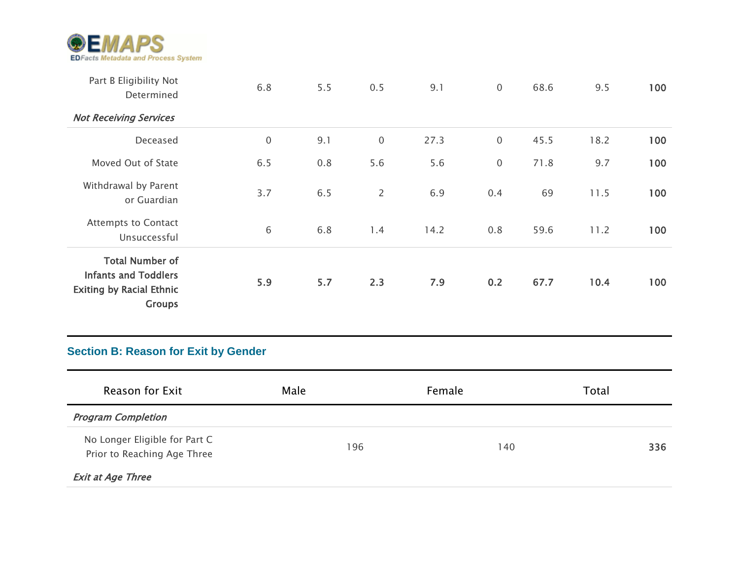

| Part B Eligibility Not<br>Determined                                                                      | 6.8         | 5.5 | 0.5            | 9.1  | $\mathbf 0$ | 68.6 | 9.5  | 100 |
|-----------------------------------------------------------------------------------------------------------|-------------|-----|----------------|------|-------------|------|------|-----|
| <b>Not Receiving Services</b>                                                                             |             |     |                |      |             |      |      |     |
| Deceased                                                                                                  | $\mathbf 0$ | 9.1 | $\mathbf 0$    | 27.3 | $\mathbf 0$ | 45.5 | 18.2 | 100 |
| Moved Out of State                                                                                        | 6.5         | 0.8 | 5.6            | 5.6  | $\mathbf 0$ | 71.8 | 9.7  | 100 |
| Withdrawal by Parent<br>or Guardian                                                                       | 3.7         | 6.5 | $\overline{2}$ | 6.9  | 0.4         | 69   | 11.5 | 100 |
| <b>Attempts to Contact</b><br>Unsuccessful                                                                | 6           | 6.8 | 1.4            | 14.2 | 0.8         | 59.6 | 11.2 | 100 |
| <b>Total Number of</b><br><b>Infants and Toddlers</b><br><b>Exiting by Racial Ethnic</b><br><b>Groups</b> | 5.9         | 5.7 | 2.3            | 7.9  | 0.2         | 67.7 | 10.4 | 100 |

### **Section B: Reason for Exit by Gender**

| Reason for Exit                                              | Male | Female | Total |
|--------------------------------------------------------------|------|--------|-------|
| <b>Program Completion</b>                                    |      |        |       |
| No Longer Eligible for Part C<br>Prior to Reaching Age Three | 196  | 140    | 336   |
| <b>Exit at Age Three</b>                                     |      |        |       |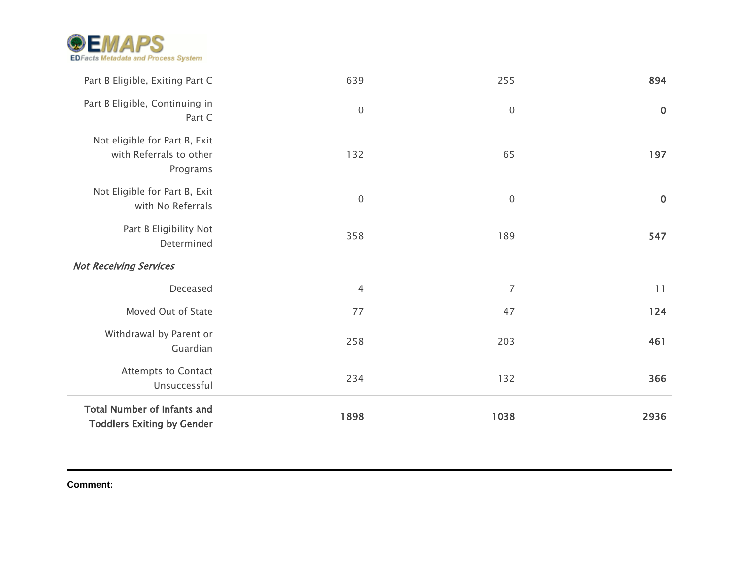

| Part B Eligible, Exiting Part C                                      | 639              | 255              | 894         |
|----------------------------------------------------------------------|------------------|------------------|-------------|
| Part B Eligible, Continuing in<br>Part C                             | $\boldsymbol{0}$ | $\boldsymbol{0}$ | $\bf{0}$    |
| Not eligible for Part B, Exit<br>with Referrals to other<br>Programs | 132              | 65               | 197         |
| Not Eligible for Part B, Exit<br>with No Referrals                   | $\boldsymbol{0}$ | $\overline{0}$   | $\mathbf 0$ |
| Part B Eligibility Not<br>Determined                                 | 358              | 189              | 547         |
|                                                                      |                  |                  |             |
| <b>Not Receiving Services</b>                                        |                  |                  |             |
| Deceased                                                             | $\overline{4}$   | $\overline{7}$   | 11          |
| Moved Out of State                                                   | 77               | 47               | 124         |
| Withdrawal by Parent or<br>Guardian                                  | 258              | 203              | 461         |
| <b>Attempts to Contact</b><br>Unsuccessful                           | 234              | 132              | 366         |

**Comment:**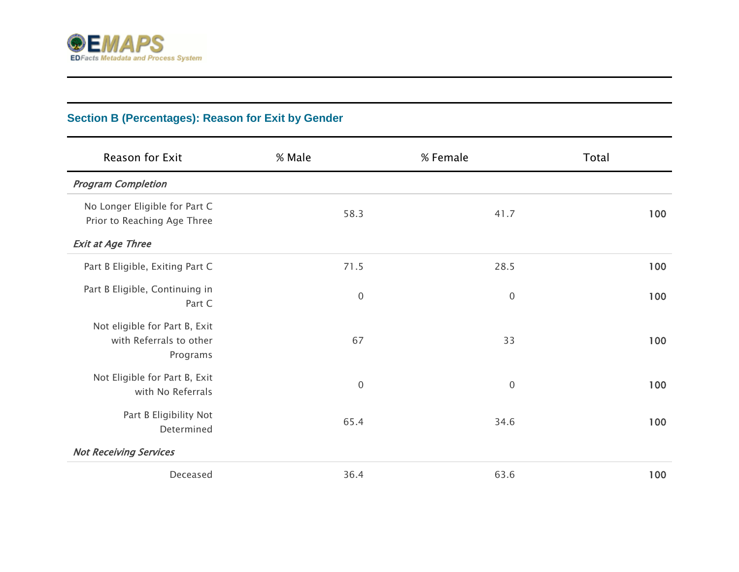

# **Section B (Percentages): Reason for Exit by Gender**

| Reason for Exit                                                      | % Male           | % Female         | Total |
|----------------------------------------------------------------------|------------------|------------------|-------|
| <b>Program Completion</b>                                            |                  |                  |       |
| No Longer Eligible for Part C<br>Prior to Reaching Age Three         | 58.3             | 41.7             | 100   |
| <b>Exit at Age Three</b>                                             |                  |                  |       |
| Part B Eligible, Exiting Part C                                      | 71.5             | 28.5             | 100   |
| Part B Eligible, Continuing in<br>Part C                             | $\boldsymbol{0}$ | $\boldsymbol{0}$ | 100   |
| Not eligible for Part B, Exit<br>with Referrals to other<br>Programs | 67               | 33               | 100   |
| Not Eligible for Part B, Exit<br>with No Referrals                   | $\boldsymbol{0}$ | $\overline{0}$   | 100   |
| Part B Eligibility Not<br>Determined                                 | 65.4             | 34.6             | 100   |
| <b>Not Receiving Services</b>                                        |                  |                  |       |
| Deceased                                                             | 36.4             | 63.6             | 100   |